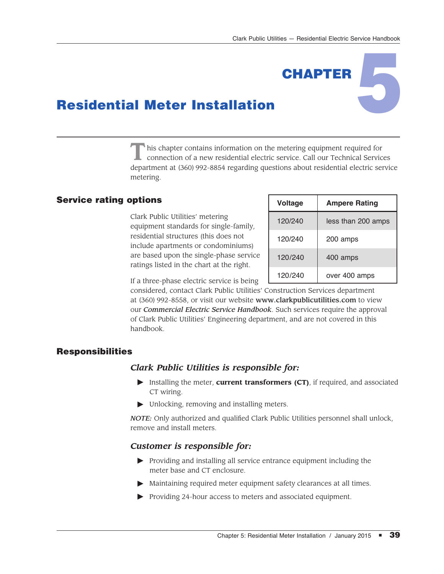**CHAPTER** 

# Residential Meter Installation

This chapter contains information on the metering equipment required for connection of a new residential electric service. Call our Technical Services department at (360) 992-8854 regarding questions about residential electric service metering.

# Service rating options

Clark Public Utilities' metering equipment standards for single-family, residential structures (this does not include apartments or condominiums) are based upon the single-phase service ratings listed in the chart at the right.

| <b>Voltage</b> | <b>Ampere Rating</b> |
|----------------|----------------------|
| 120/240        | less than 200 amps   |
| 120/240        | 200 amps             |
| 120/240        | 400 amps             |
| 120/240        | over 400 amps        |

If a three-phase electric service is being

considered, contact Clark Public Utilities' Construction Services department at (360) 992-8558, or visit our website www.clarkpublicutilities.com to view our *Commercial Electric Service Handbook*. Such services require the approval of Clark Public Utilities' Engineering department, and are not covered in this handbook.

# Responsibilities

### *Clark Public Utilities is responsible for:*

- Installing the meter, **current transformers (CT)**, if required, and associated CT wiring.
- $\blacktriangleright$  Unlocking, removing and installing meters.

*NOTE:* Only authorized and qualified Clark Public Utilities personnel shall unlock, remove and install meters.

# *Customer is responsible for:*

- $\blacktriangleright$  Providing and installing all service entrance equipment including the meter base and CT enclosure.
- $\blacktriangleright$  Maintaining required meter equipment safety clearances at all times.
- $\triangleright$  Providing 24-hour access to meters and associated equipment.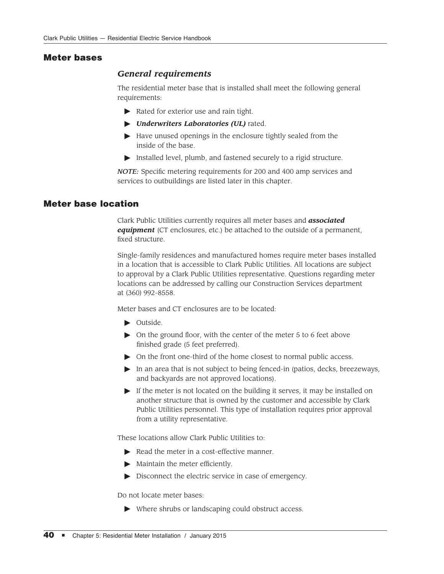### Meter bases

## *General requirements*

The residential meter base that is installed shall meet the following general requirements:

- $\blacktriangleright$  Rated for exterior use and rain tight.
- #*Underwriters Laboratories (UL)* rated.
- $\blacktriangleright$  Have unused openings in the enclosure tightly sealed from the inside of the base.
- $\blacktriangleright$  Installed level, plumb, and fastened securely to a rigid structure.

*NOTE:* Specific metering requirements for 200 and 400 amp services and services to outbuildings are listed later in this chapter.

# Meter base location

Clark Public Utilities currently requires all meter bases and *associated equipment* (CT enclosures, etc.) be attached to the outside of a permanent, fixed structure.

Single-family residences and manufactured homes require meter bases installed in a location that is accessible to Clark Public Utilities. All locations are subject to approval by a Clark Public Utilities representative. Questions regarding meter locations can be addressed by calling our Construction Services department at (360) 992-8558.

Meter bases and CT enclosures are to be located:

- $\triangleright$  Outside.
- $\triangleright$  On the ground floor, with the center of the meter 5 to 6 feet above finished grade (5 feet preferred).
- $\triangleright$  On the front one-third of the home closest to normal public access.
- In an area that is not subject to being fenced-in (patios, decks, breezeways, and backyards are not approved locations).
- $\blacktriangleright$  If the meter is not located on the building it serves, it may be installed on another structure that is owned by the customer and accessible by Clark Public Utilities personnel. This type of installation requires prior approval from a utility representative.

These locations allow Clark Public Utilities to:

- $\blacktriangleright$  Read the meter in a cost-effective manner.
- $\blacktriangleright$  Maintain the meter efficiently.
- $\triangleright$  Disconnect the electric service in case of emergency.

Do not locate meter bases:

 $\triangleright$  Where shrubs or landscaping could obstruct access.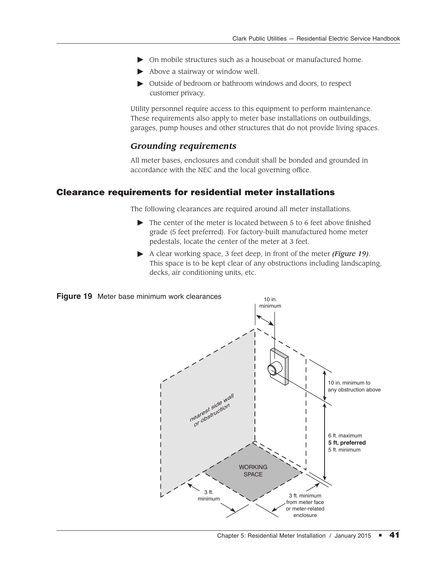- $\triangleright$  On mobile structures such as a houseboat or manufactured home.
- $\blacktriangleright$  Above a stairway or window well.
- Dutside of bedroom or bathroom windows and doors, to respect customer privacy.

Utility personnel require access to this equipment to perform maintenance. These requirements also apply to meter base installations on outbuildings, garages, pump houses and other structures that do not provide living spaces.

# *Grounding requirements*

All meter bases, enclosures and conduit shall be bonded and grounded in accordance with the NEC and the local governing office.

### Clearance requirements for residential meter installations

The following clearances are required around all meter installations.

- $\triangleright$  The center of the meter is located between 5 to 6 feet above finished grade (5 feet preferred). For factory-built manufactured home meter pedestals, locate the center of the meter at 3 feet.
- A clear working space, 3 feet deep, in front of the meter *(Figure 19)*. This space is to be kept clear of any obstructions including landscaping, decks, air conditioning units, etc.



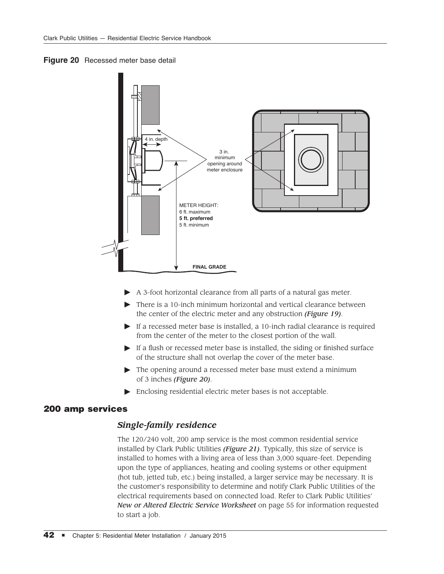



- $\blacktriangleright$  A 3-foot horizontal clearance from all parts of a natural gas meter.
- $\triangleright$  There is a 10-inch minimum horizontal and vertical clearance between the center of the electric meter and any obstruction *(Figure 19)*.
- $\blacktriangleright$  If a recessed meter base is installed, a 10-inch radial clearance is required from the center of the meter to the closest portion of the wall.
- $\blacktriangleright$  If a flush or recessed meter base is installed, the siding or finished surface of the structure shall not overlap the cover of the meter base.
- $\triangleright$  The opening around a recessed meter base must extend a minimum of 3 inches *(Figure 20)*.
- $\blacktriangleright$  Enclosing residential electric meter bases is not acceptable.

### 200 amp services

### *Single-family residence*

The 120/240 volt, 200 amp service is the most common residential service installed by Clark Public Utilities *(Figure 21)*. Typically, this size of service is installed to homes with a living area of less than 3,000 square-feet. Depending upon the type of appliances, heating and cooling systems or other equipment (hot tub, jetted tub, etc.) being installed, a larger service may be necessary. It is the customer's responsibility to determine and notify Clark Public Utilities of the electrical requirements based on connected load. Refer to Clark Public Utilities' *New or Altered Electric Service Worksheet* on page 55 for information requested to start a job.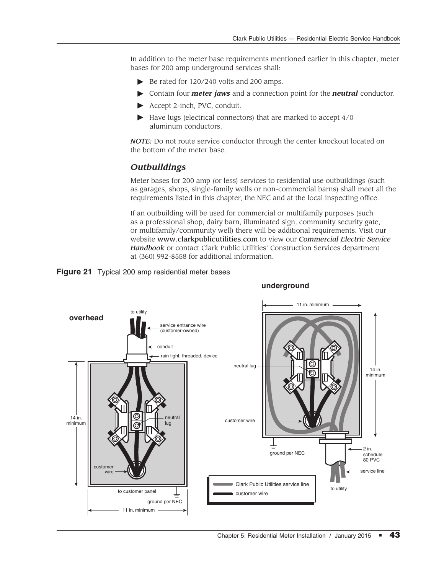In addition to the meter base requirements mentioned earlier in this chapter, meter bases for 200 amp underground services shall:

- $\triangleright$  Be rated for 120/240 volts and 200 amps.
- #Contain four *meter jaws* and a connection point for the *neutral* conductor.
- $\blacktriangleright$  Accept 2-inch, PVC, conduit.
- $\blacktriangleright$  Have lugs (electrical connectors) that are marked to accept 4/0 aluminum conductors.

*NOTE:* Do not route service conductor through the center knockout located on the bottom of the meter base.

# *Outbuildings*

Meter bases for 200 amp (or less) services to residential use outbuildings (such as garages, shops, single-family wells or non-commercial barns) shall meet all the requirements listed in this chapter, the NEC and at the local inspecting office.

If an outbuilding will be used for commercial or multifamily purposes (such as a professional shop, dairy barn, illuminated sign, community security gate, or multifamily/community well) there will be additional requirements. Visit our website www.clarkpublicutilities.com to view our *Commercial Electric Service Handbook* or contact Clark Public Utilities' Construction Services department at (360) 992-8558 for additional information.





### **underground**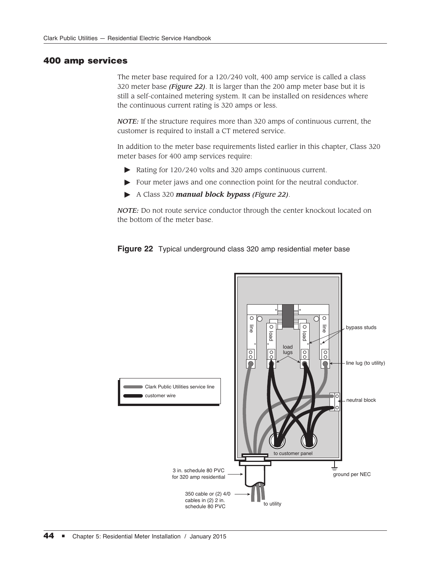### 400 amp services

The meter base required for a 120/240 volt, 400 amp service is called a class 320 meter base *(Figure 22)*. It is larger than the 200 amp meter base but it is still a self-contained metering system. It can be installed on residences where the continuous current rating is 320 amps or less.

*NOTE:* If the structure requires more than 320 amps of continuous current, the customer is required to install a CT metered service.

In addition to the meter base requirements listed earlier in this chapter, Class 320 meter bases for 400 amp services require:

- $\triangleright$  Rating for 120/240 volts and 320 amps continuous current.
- $\blacktriangleright$  Four meter jaws and one connection point for the neutral conductor.
- #A Class 320 *manual block bypass (Figure 22)*.

*NOTE:* Do not route service conductor through the center knockout located on the bottom of the meter base.



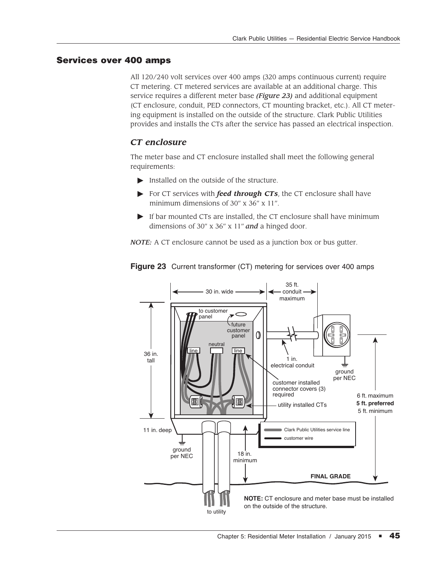# Services over 400 amps

All 120/240 volt services over 400 amps (320 amps continuous current) require CT metering. CT metered services are available at an additional charge. This service requires a different meter base *(Figure 23)* and additional equipment (CT enclosure, conduit, PED connectors, CT mounting bracket, etc.). All CT metering equipment is installed on the outside of the structure. Clark Public Utilities provides and installs the CTs after the service has passed an electrical inspection.

# *CT enclosure*

The meter base and CT enclosure installed shall meet the following general requirements:

- $\blacktriangleright$  Installed on the outside of the structure.
- For CT services with *feed through CTs*, the CT enclosure shall have minimum dimensions of 30" x 36" x 11".
- $\blacktriangleright$  If bar mounted CTs are installed, the CT enclosure shall have minimum dimensions of 30" x 36" x 11" *and* a hinged door.

*NOTE:* A CT enclosure cannot be used as a junction box or bus gutter.



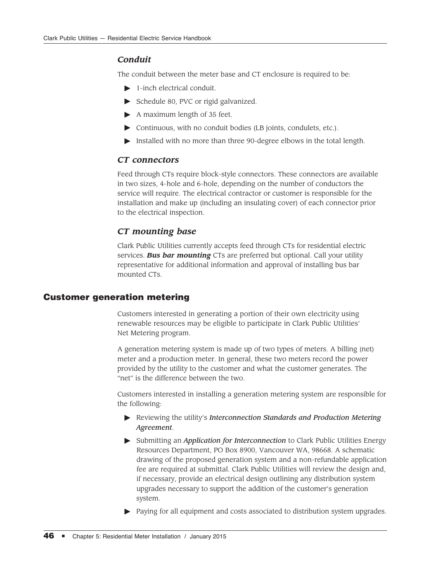## *Conduit*

The conduit between the meter base and CT enclosure is required to be:

- $\blacktriangleright$  1-inch electrical conduit.
- Schedule 80, PVC or rigid galvanized.
- $\blacktriangleright$  A maximum length of 35 feet.
- $\triangleright$  Continuous, with no conduit bodies (LB joints, condulets, etc.).
- Installed with no more than three 90-degree elbows in the total length.

# *CT connectors*

Feed through CTs require block-style connectors. These connectors are available in two sizes, 4-hole and 6-hole, depending on the number of conductors the service will require. The electrical contractor or customer is responsible for the installation and make up (including an insulating cover) of each connector prior to the electrical inspection.

# *CT mounting base*

Clark Public Utilities currently accepts feed through CTs for residential electric services. *Bus bar mounting* CTs are preferred but optional. Call your utility representative for additional information and approval of installing bus bar mounted CTs.

### Customer generation metering

Customers interested in generating a portion of their own electricity using renewable resources may be eligible to participate in Clark Public Utilities' Net Metering program.

A generation metering system is made up of two types of meters. A billing (net) meter and a production meter. In general, these two meters record the power provided by the utility to the customer and what the customer generates. The "net" is the difference between the two.

Customers interested in installing a generation metering system are responsible for the following:

- **EXECUTE:** Reviewing the utility's *Interconnection Standards and Production Metering Agreement*.
- #Submitting an *Application for Interconnection* to Clark Public Utilities Energy Resources Department, PO Box 8900, Vancouver WA, 98668. A schematic drawing of the proposed generation system and a non-refundable application fee are required at submittal. Clark Public Utilities will review the design and, if necessary, provide an electrical design outlining any distribution system upgrades necessary to support the addition of the customer's generation system.
- Paying for all equipment and costs associated to distribution system upgrades.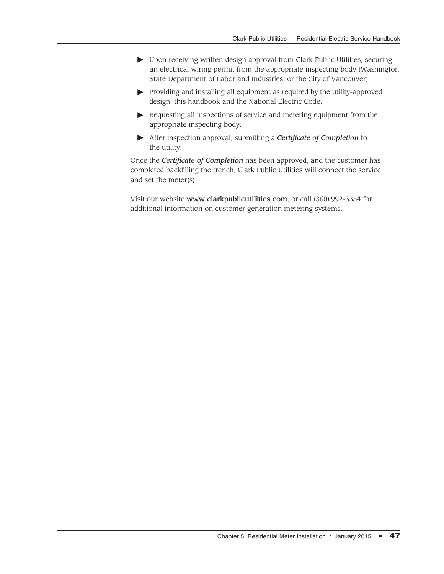- ▶ Upon receiving written design approval from Clark Public Utilities, securing an electrical wiring permit from the appropriate inspecting body (Washington State Department of Labor and Industries, or the City of Vancouver).
- $\blacktriangleright$  Providing and installing all equipment as required by the utility-approved design, this handbook and the National Electric Code.
- $\blacktriangleright$  Requesting all inspections of service and metering equipment from the appropriate inspecting body.
- After inspection approval, submitting a *Certificate of Completion* to the utility.

Once the *Certificate of Completion* has been approved, and the customer has completed backfilling the trench, Clark Public Utilities will connect the service and set the meter(s).

Visit our website www.clarkpublicutilities.com, or call (360) 992-3354 for additional information on customer generation metering systems.